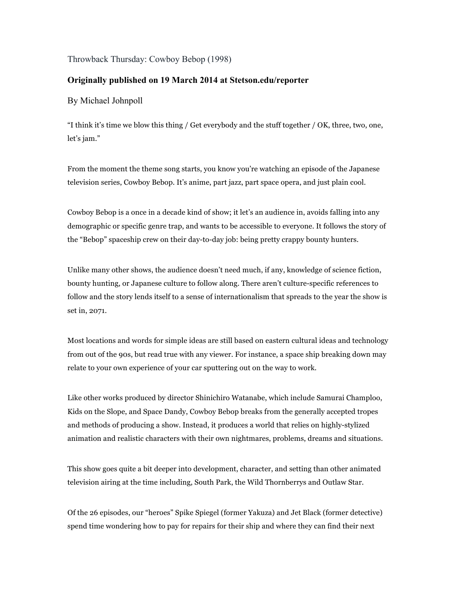Throwback Thursday: Cowboy Bebop (1998)

## **Originally published on 19 March 2014 at Stetson.edu/reporter**

By Michael Johnpoll

"I think it's time we blow this thing / Get everybody and the stuff together / OK, three, two, one, let's jam."

From the moment the theme song starts, you know you're watching an episode of the Japanese television series, Cowboy Bebop. It's anime, part jazz, part space opera, and just plain cool.

Cowboy Bebop is a once in a decade kind of show; it let's an audience in, avoids falling into any demographic or specific genre trap, and wants to be accessible to everyone. It follows the story of the "Bebop" spaceship crew on their day-to-day job: being pretty crappy bounty hunters.

Unlike many other shows, the audience doesn't need much, if any, knowledge of science fiction, bounty hunting, or Japanese culture to follow along. There aren't culture-specific references to follow and the story lends itself to a sense of internationalism that spreads to the year the show is set in, 2071.

Most locations and words for simple ideas are still based on eastern cultural ideas and technology from out of the 90s, but read true with any viewer. For instance, a space ship breaking down may relate to your own experience of your car sputtering out on the way to work.

Like other works produced by director Shinichiro Watanabe, which include Samurai Champloo, Kids on the Slope, and Space Dandy, Cowboy Bebop breaks from the generally accepted tropes and methods of producing a show. Instead, it produces a world that relies on highly-stylized animation and realistic characters with their own nightmares, problems, dreams and situations.

This show goes quite a bit deeper into development, character, and setting than other animated television airing at the time including, South Park, the Wild Thornberrys and Outlaw Star.

Of the 26 episodes, our "heroes" Spike Spiegel (former Yakuza) and Jet Black (former detective) spend time wondering how to pay for repairs for their ship and where they can find their next